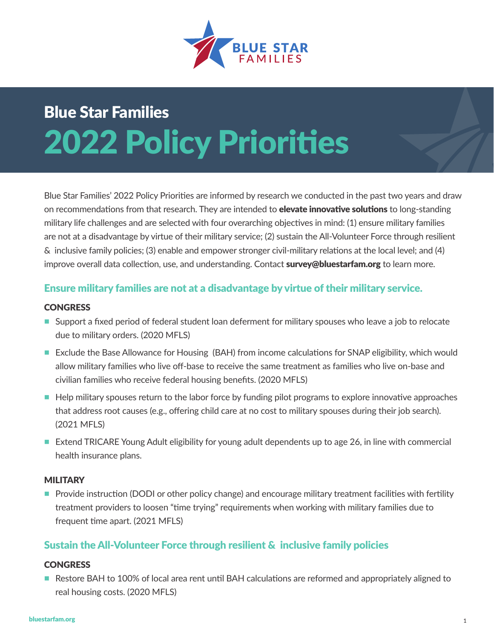

# Blue Star Families 2022 Policy Priorities

Blue Star Families' 2022 Policy Priorities are informed by research we conducted in the past two years and draw on recommendations from that research. They are intended to **elevate innovative solutions** to long-standing military life challenges and are selected with four overarching objectives in mind: (1) ensure military families are not at a disadvantage by virtue of their military service; (2) sustain the All-Volunteer Force through resilient & inclusive family policies; (3) enable and empower stronger civil-military relations at the local level; and (4) improve overall data collection, use, and understanding. Contact **survey@bluestarfam.org** to learn more.

## Ensure military families are not at a disadvantage by virtue of their military service.

## **CONGRESS**

- **n** Support a fixed period of federal student loan deferment for military spouses who leave a job to relocate due to military orders. (2020 MFLS)
- Exclude the Base Allowance for Housing (BAH) from income calculations for SNAP eligibility, which would allow military families who live off-base to receive the same treatment as families who live on-base and civilian families who receive federal housing benefits. (2020 MFLS)
- Help military spouses return to the labor force by funding pilot programs to explore innovative approaches that address root causes (e.g., offering child care at no cost to military spouses during their job search). (2021 MFLS)
- Extend TRICARE Young Adult eligibility for young adult dependents up to age 26, in line with commercial health insurance plans.

## **MILITARY**

**Provide instruction (DODI or other policy change) and encourage military treatment facilities with fertility** treatment providers to loosen "time trying" requirements when working with military families due to frequent time apart. (2021 MFLS)

## Sustain the All-Volunteer Force through resilient & inclusive family policies

## **CONGRESS**

■ Restore BAH to 100% of local area rent until BAH calculations are reformed and appropriately aligned to real housing costs. (2020 MFLS)